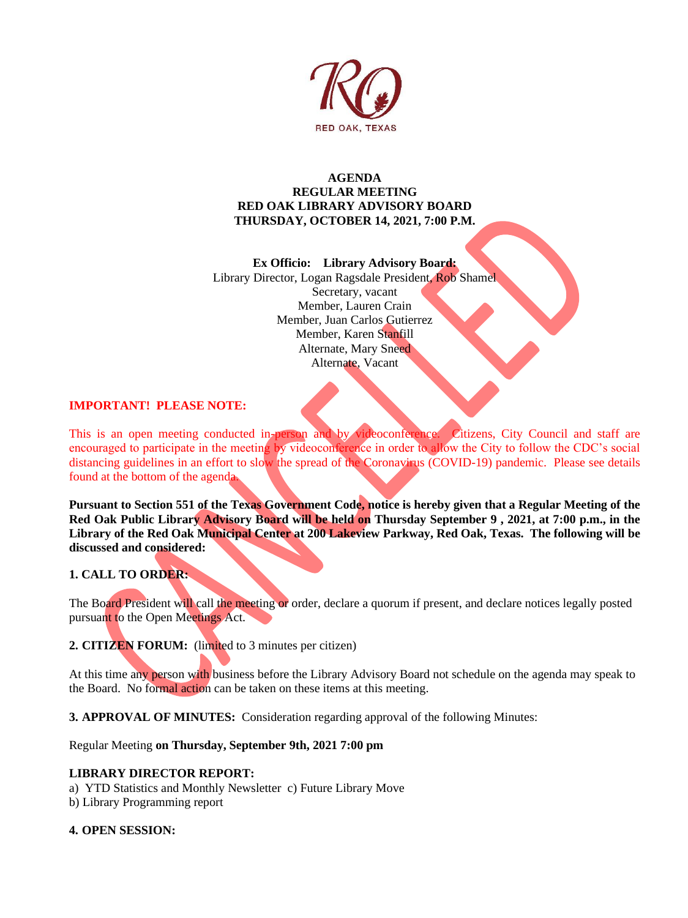

## **AGENDA REGULAR MEETING RED OAK LIBRARY ADVISORY BOARD THURSDAY, OCTOBER 14, 2021, 7:00 P.M.**

#### **Ex Officio: Library Advisory Board:**

Library Director, Logan Ragsdale President, Rob Shamel

Secretary, vacant Member, Lauren Crain Member, Juan Carlos Gutierrez Member, Karen Stanfill Alternate, Mary Sneed Alternate, Vacant

# **IMPORTANT! PLEASE NOTE:**

This is an open meeting conducted in-person and by videoconference. Citizens, City Council and staff are encouraged to participate in the meeting by videoconference in order to allow the City to follow the CDC's social distancing guidelines in an effort to slow the spread of the Coronavirus (COVID-19) pandemic. Please see details found at the bottom of the agenda.

**Pursuant to Section 551 of the Texas Government Code, notice is hereby given that a Regular Meeting of the Red Oak Public Library Advisory Board will be held on Thursday September 9 , 2021, at 7:00 p.m., in the Library of the Red Oak Municipal Center at 200 Lakeview Parkway, Red Oak, Texas. The following will be discussed and considered:** 

# **1. CALL TO ORDER:**

The Board President will call the meeting or order, declare a quorum if present, and declare notices legally posted pursuant to the Open Meetings Act.

**2. CITIZEN FORUM:** (limited to 3 minutes per citizen)

At this time any person with business before the Library Advisory Board not schedule on the agenda may speak to the Board. No formal action can be taken on these items at this meeting.

**3. APPROVAL OF MINUTES:** Consideration regarding approval of the following Minutes:

Regular Meeting **on Thursday, September 9th, 2021 7:00 pm** 

## **LIBRARY DIRECTOR REPORT:**

a) YTD Statistics and Monthly Newsletter c) Future Library Move

b) Library Programming report

## **4. OPEN SESSION:**